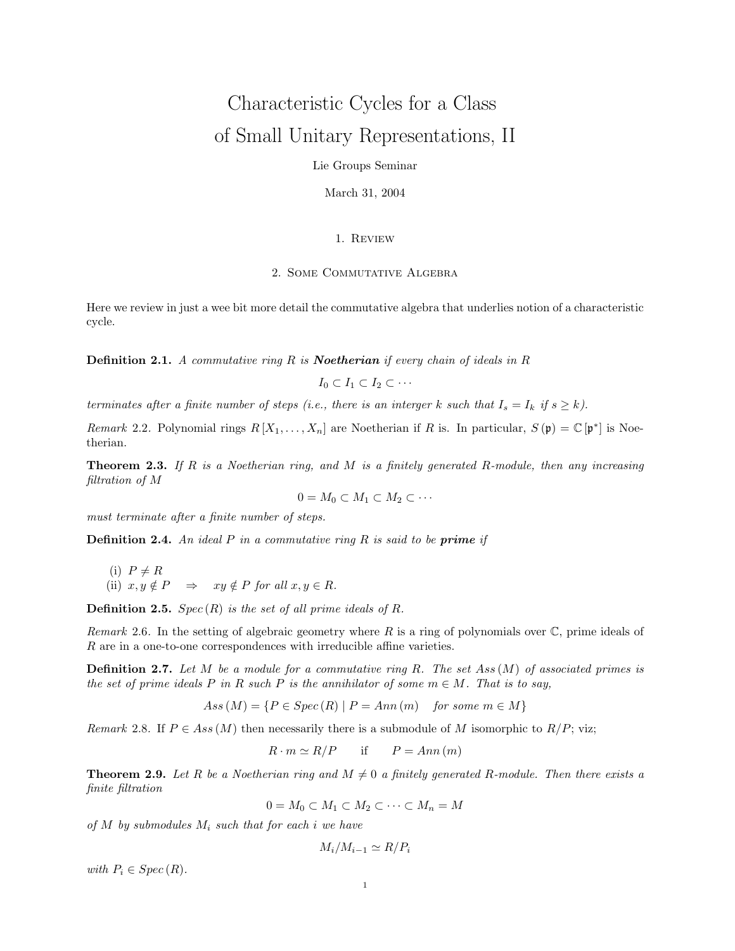# Characteristic Cycles for a Class of Small Unitary Representations, II

Lie Groups Seminar

March 31, 2004

## 1. Review

### 2. Some Commutative Algebra

Here we review in just a wee bit more detail the commutative algebra that underlies notion of a characteristic cycle.

**Definition 2.1.** A commutative ring R is **Noetherian** if every chain of ideals in R

$$
I_0\subset I_1\subset I_2\subset\cdots
$$

terminates after a finite number of steps (i.e., there is an interger k such that  $I_s = I_k$  if  $s \geq k$ ).

Remark 2.2. Polynomial rings  $R[X_1,\ldots,X_n]$  are Noetherian if R is. In particular,  $S(\mathfrak{p}) = \mathbb{C}[\mathfrak{p}^*]$  is Noetherian.

**Theorem 2.3.** If R is a Noetherian ring, and M is a finitely generated R-module, then any increasing filtration of M

$$
0=M_0\subset M_1\subset M_2\subset\cdots
$$

must terminate after a finite number of steps.

**Definition 2.4.** An ideal  $P$  in a commutative ring  $R$  is said to be **prime** if

(i) 
$$
P \neq R
$$
  
\n(ii)  $x, y \notin P \implies xy \notin P$  for all  $x, y \in R$ .

**Definition 2.5.** Spec $(R)$  is the set of all prime ideals of R.

Remark 2.6. In the setting of algebraic geometry where R is a ring of polynomials over  $\mathbb{C}$ , prime ideals of R are in a one-to-one correspondences with irreducible affine varieties.

**Definition 2.7.** Let M be a module for a commutative ring R. The set Ass  $(M)$  of associated primes is the set of prime ideals P in R such P is the annihilator of some  $m \in M$ . That is to say,

$$
Ass\,(M) = \{P \in Spec\,(R) \mid P = Ann\,(m) \quad \text{for some } m \in M\}
$$

Remark 2.8. If  $P \in Ass(M)$  then necessarily there is a submodule of M isomorphic to  $R/P$ ; viz;

$$
R \cdot m \simeq R/P \qquad \text{if} \qquad P = Ann(m)
$$

**Theorem 2.9.** Let R be a Noetherian ring and  $M \neq 0$  a finitely generated R-module. Then there exists a finite filtration

 $0 = M_0 \subset M_1 \subset M_2 \subset \cdots \subset M_n = M$ 

of  $M$  by submodules  $M_i$  such that for each i we have

$$
M_i/M_{i-1} \simeq R/P_i
$$

with  $P_i \in Spec(R)$ .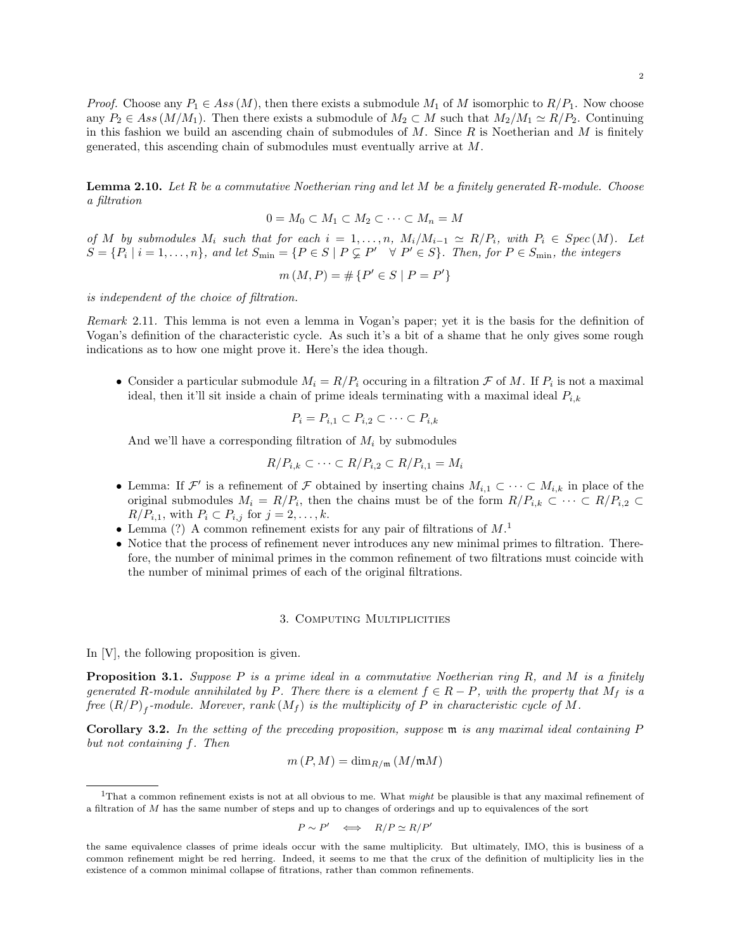*Proof.* Choose any  $P_1 \in Ass(M)$ , then there exists a submodule  $M_1$  of M isomorphic to  $R/P_1$ . Now choose any  $P_2 \in Ass(M/M_1)$ . Then there exists a submodule of  $M_2 \subset M$  such that  $M_2/M_1 \simeq R/P_2$ . Continuing in this fashion we build an ascending chain of submodules of  $M$ . Since  $R$  is Noetherian and  $M$  is finitely generated, this ascending chain of submodules must eventually arrive at M.

**Lemma 2.10.** Let R be a commutative Noetherian ring and let M be a finitely generated R-module. Choose a filtration

$$
0 = M_0 \subset M_1 \subset M_2 \subset \cdots \subset M_n = M
$$

of M by submodules  $M_i$  such that for each  $i = 1, ..., n$ ,  $M_i/M_{i-1} \simeq R/P_i$ , with  $P_i \in Spec(M)$ . Let  $S = \{P_i \mid i = 1, \ldots, n\}$ , and let  $S_{\min} = \{P \in S \mid P \subsetneq P' \quad \forall P' \in S\}$ . Then, for  $P \in S_{\min}$ , the integers

$$
m(M, P) = \# \{ P' \in S \mid P = P' \}
$$

is independent of the choice of filtration.

Remark 2.11. This lemma is not even a lemma in Vogan's paper; yet it is the basis for the definition of Vogan's definition of the characteristic cycle. As such it's a bit of a shame that he only gives some rough indications as to how one might prove it. Here's the idea though.

• Consider a particular submodule  $M_i = R/P_i$  occuring in a filtration  $\mathcal F$  of  $M$ . If  $P_i$  is not a maximal ideal, then it'll sit inside a chain of prime ideals terminating with a maximal ideal  $P_{i,k}$ 

$$
P_i = P_{i,1} \subset P_{i,2} \subset \cdots \subset P_{i,k}
$$

And we'll have a corresponding filtration of  $M_i$  by submodules

$$
R/P_{i,k} \subset \cdots \subset R/P_{i,2} \subset R/P_{i,1} = M_i
$$

- Lemma: If  $\mathcal{F}'$  is a refinement of  $\mathcal F$  obtained by inserting chains  $M_{i,1} \subset \cdots \subset M_{i,k}$  in place of the original submodules  $M_i = R/P_i$ , then the chains must be of the form  $R/P_{i,k} \subset \cdots \subset R/P_{i,2} \subset$  $R/P_{i,1}$ , with  $P_i \subset P_{i,j}$  for  $j = 2, \ldots, k$ .
- Lemma (?) A common refinement exists for any pair of filtrations of  $M$ <sup>1</sup>
- Notice that the process of refinement never introduces any new minimal primes to filtration. Therefore, the number of minimal primes in the common refinement of two filtrations must coincide with the number of minimal primes of each of the original filtrations.

#### 3. COMPUTING MULTIPLICITIES

In [V], the following proposition is given.

**Proposition 3.1.** Suppose P is a prime ideal in a commutative Noetherian ring R, and M is a finitely generated R-module annihilated by P. There there is a element  $f \in R - P$ , with the property that  $M_f$  is a free  $(R/P)_f$ -module. Morever,  $rank(M_f)$  is the multiplicity of  $P$  in characteristic cycle of  $M$ .

Corollary 3.2. In the setting of the preceding proposition, suppose m is any maximal ideal containing P but not containing f. Then

$$
m(P, M) = \dim_{R/\mathfrak{m}} (M/\mathfrak{m}M)
$$

$$
P \sim P' \iff R/P \simeq R/P'
$$

<sup>&</sup>lt;sup>1</sup>That a common refinement exists is not at all obvious to me. What *might* be plausible is that any maximal refinement of a filtration of M has the same number of steps and up to changes of orderings and up to equivalences of the sort

the same equivalence classes of prime ideals occur with the same multiplicity. But ultimately, IMO, this is business of a common refinement might be red herring. Indeed, it seems to me that the crux of the definition of multiplicity lies in the existence of a common minimal collapse of fitrations, rather than common refinements.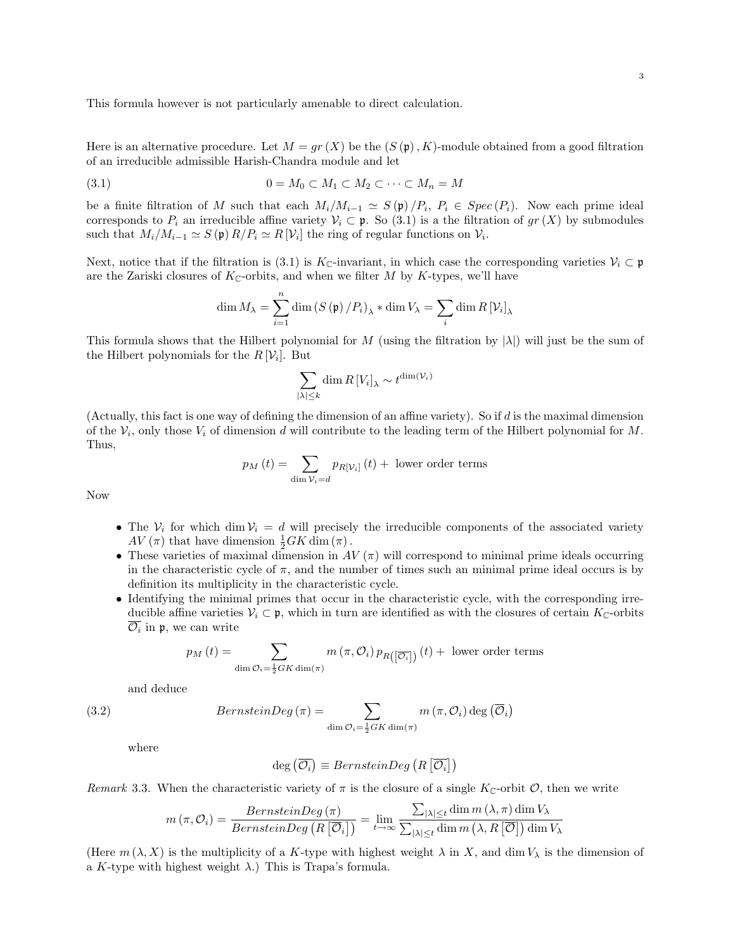This formula however is not particularly amenable to direct calculation.

Here is an alternative procedure. Let  $M = qr(X)$  be the  $(S(\mathfrak{p}), K)$ -module obtained from a good filtration of an irreducible admissible Harish-Chandra module and let

$$
(3.1) \t\t 0 = M_0 \subset M_1 \subset M_2 \subset \cdots \subset M_n = M
$$

be a finite filtration of M such that each  $M_i/M_{i-1} \simeq S(\mathfrak{p})/P_i$ ,  $P_i \in Spec(P_i)$ . Now each prime ideal corresponds to  $P_i$  an irreducible affine variety  $V_i \subset \mathfrak{p}$ . So (3.1) is a the filtration of  $gr(X)$  by submodules such that  $M_i/M_{i-1} \simeq S(\mathfrak{p}) R/P_i \simeq R[V_i]$  the ring of regular functions on  $V_i$ .

Next, notice that if the filtration is (3.1) is K<sub>C</sub>-invariant, in which case the corresponding varieties  $\mathcal{V}_i \subset \mathfrak{p}$ are the Zariski closures of  $K_{\mathbb{C}}$ -orbits, and when we filter M by K-types, we'll have

$$
\dim M_{\lambda} = \sum_{i=1}^{n} \dim (S(\mathfrak{p})/P_{i})_{\lambda} * \dim V_{\lambda} = \sum_{i} \dim R[V_{i}]_{\lambda}
$$

This formula shows that the Hilbert polynomial for M (using the filtration by  $|\lambda|$ ) will just be the sum of the Hilbert polynomials for the  $R[\mathcal{V}_i]$ . But

$$
\sum_{|\lambda| \le k} \dim R \left[ V_i \right]_{\lambda} \sim t^{\dim(\mathcal{V}_i)}
$$

(Actually, this fact is one way of defining the dimension of an affine variety). So if d is the maximal dimension of the  $V_i$ , only those  $V_i$  of dimension d will contribute to the leading term of the Hilbert polynomial for M. Thus,

$$
p_M(t) = \sum_{\dim \mathcal{V}_i = d} p_{R[\mathcal{V}_i]}(t) + \text{ lower order terms}
$$

Now

- The  $V_i$  for which dim  $V_i = d$  will precisely the irreducible components of the associated variety  $AV(\pi)$  that have dimension  $\frac{1}{2}GK \dim(\pi)$ .
- These varieties of maximal dimension in  $AV(\pi)$  will correspond to minimal prime ideals occurring in the characteristic cycle of  $\pi$ , and the number of times such an minimal prime ideal occurs is by definition its multiplicity in the characteristic cycle.
- Identifying the minimal primes that occur in the characteristic cycle, with the corresponding irreducible affine varieties  $V_i \subset \mathfrak{p}$ , which in turn are identified as with the closures of certain  $K_{\mathbb{C}}$ -orbits  $\overline{\mathcal{O}_i}$  in  $\mathfrak{p}$ , we can write

$$
p_M(t) = \sum_{\dim \mathcal{O}_i = \frac{1}{2}GK \dim(\pi)} m(\pi, \mathcal{O}_i) p_{R([\overline{\mathcal{O}_i}])}(t) + \text{ lower order terms}
$$

and deduce

(3.2) 
$$
BernsteinDeg(\pi) = \sum_{\dim \mathcal{O}_i = \frac{1}{2}GK \dim(\pi)} m(\pi, \mathcal{O}_i) \deg(\overline{\mathcal{O}}_i)
$$

where

$$
deg\left(\overline{\mathcal{O}_{i}}\right) \equiv BernsteinDeg\left(R\left[\overline{\mathcal{O}_{i}}\right]\right)
$$

Remark 3.3. When the characteristic variety of  $\pi$  is the closure of a single K<sub>C</sub>-orbit  $\mathcal{O}$ , then we write

$$
m(\pi, \mathcal{O}_i) = \frac{BernsteinDeg(\pi)}{BernsteinDeg(R[\overline{\mathcal{O}}_i])} = \lim_{t \to \infty} \frac{\sum_{|\lambda| \leq t} \dim m(\lambda, \pi) \dim V_{\lambda}}{\sum_{|\lambda| \leq t} \dim m(\lambda, R[\overline{\mathcal{O}}]) \dim V_{\lambda}}
$$

(Here  $m(\lambda, X)$  is the multiplicity of a K-type with highest weight  $\lambda$  in X, and dim  $V_{\lambda}$  is the dimension of a K-type with highest weight  $\lambda$ .) This is Trapa's formula.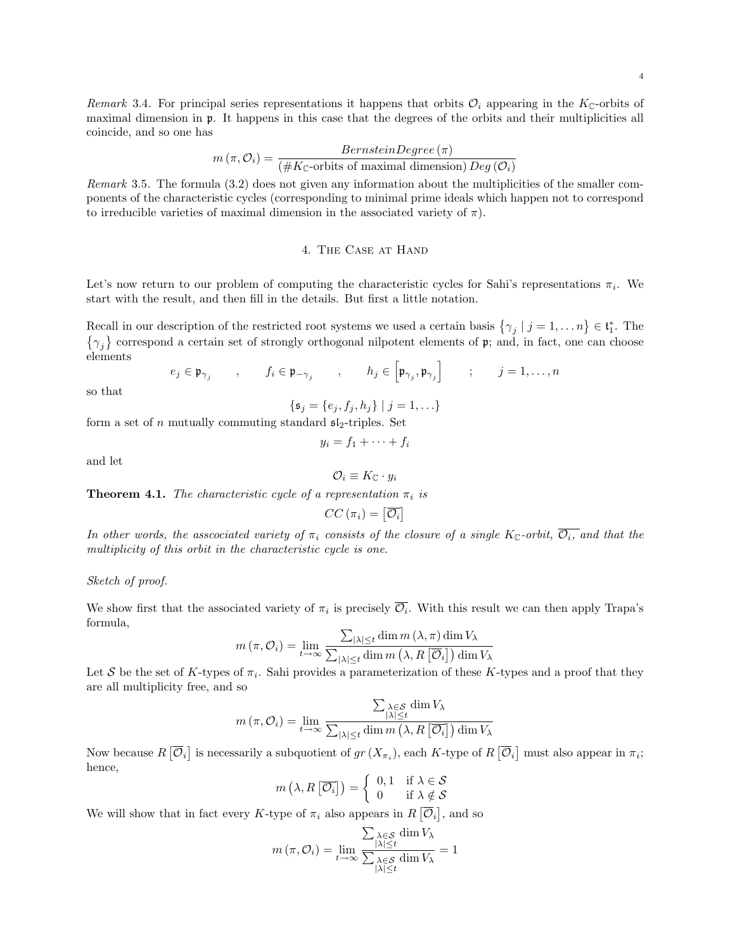4

Remark 3.4. For principal series representations it happens that orbits  $\mathcal{O}_i$  appearing in the K<sub>C</sub>-orbits of maximal dimension in p. It happens in this case that the degrees of the orbits and their multiplicities all coincide, and so one has

$$
m(\pi, \mathcal{O}_i) = \frac{BernsteinDegree(\pi)}{(\#K_{\mathbb{C}}\text{-orbits of maximal dimension})\,Deg(\mathcal{O}_i)}
$$

Remark 3.5. The formula (3.2) does not given any information about the multiplicities of the smaller components of the characteristic cycles (corresponding to minimal prime ideals which happen not to correspond to irreducible varieties of maximal dimension in the associated variety of  $\pi$ ).

## 4. The Case at Hand

Let's now return to our problem of computing the characteristic cycles for Sahi's representations  $\pi_i$ . We start with the result, and then fill in the details. But first a little notation.

Recall in our description of the restricted root systems we used a certain basis  $\{\gamma_j \mid j = 1, \ldots n\} \in \mathfrak{t}_1^*$ . The  $\{\gamma_j\}$  correspond a certain set of strongly orthogonal nilpotent elements of p; and, in fact, one can choose elements

$$
e_j \in \mathfrak{p}_{\gamma_j} \qquad , \qquad f_i \in \mathfrak{p}_{-\gamma_j} \qquad , \qquad h_j \in \left[\mathfrak{p}_{\gamma_j}, \mathfrak{p}_{\gamma_j}\right] \qquad ; \qquad j = 1, \dots, n
$$

so that

$$
\{\mathfrak{s}_j = \{e_j, f_j, h_j\} \mid j = 1, \ldots\}
$$

form a set of n mutually commuting standard  $\mathfrak{sl}_2$ -triples. Set

$$
y_i = f_1 + \cdots + f_i
$$

and let

 $\mathcal{O}_i \equiv K_{\mathbb{C}} \cdot y_i$ 

**Theorem 4.1.** The characteristic cycle of a representation  $\pi_i$  is

$$
CC\left(\pi_{i}\right)=\left[\overline{\mathcal{O}_{i}}\right]
$$

In other words, the asscociated variety of  $\pi_i$  consists of the closure of a single K<sub>C</sub>-orbit,  $\overline{O_i}$ , and that the multiplicity of this orbit in the characteristic cycle is one.

## Sketch of proof.

We show first that the associated variety of  $\pi_i$  is precisely  $\overline{\mathcal{O}_i}$ . With this result we can then apply Trapa's formula,

$$
m(\pi, \mathcal{O}_i) = \lim_{t \to \infty} \frac{\sum_{|\lambda| \leq t} \dim m(\lambda, \pi) \dim V_{\lambda}}{\sum_{|\lambda| \leq t} \dim m(\lambda, R[\overline{\mathcal{O}}_i]) \dim V_{\lambda}}
$$

Let S be the set of K-types of  $\pi_i$ . Sahi provides a parameterization of these K-types and a proof that they are all multiplicity free, and so

$$
m(\pi, \mathcal{O}_i) = \lim_{t \to \infty} \frac{\sum_{\substack{\lambda \in \mathcal{S} \\ |\lambda| \le t}} \dim V_{\lambda}}{\sum_{|\lambda| \le t} \dim m(\lambda, R[\overline{\mathcal{O}_i}]) \dim V_{\lambda}}
$$

Now because  $R\left[\overline{\mathcal{O}}_i\right]$  is necessarily a subquotient of  $gr(X_{\pi_i})$ , each K-type of  $R\left[\overline{\mathcal{O}}_i\right]$  must also appear in  $\pi_i$ ; hence,

$$
m\left(\lambda, R\left[\overline{\mathcal{O}_i}\right]\right) = \left\{ \begin{array}{ll} 0,1 & \text{if } \lambda \in \mathcal{S} \\ 0 & \text{if } \lambda \notin \mathcal{S} \end{array} \right.
$$

We will show that in fact every K-type of  $\pi_i$  also appears in  $R[\overline{\mathcal{O}}_i]$ , and so

$$
m(\pi, \mathcal{O}_i) = \lim_{t \to \infty} \frac{\sum_{\substack{\lambda \in \mathcal{S} \\ |\lambda| \le t}} \dim V_{\lambda}}{\sum_{\substack{\lambda \in \mathcal{S} \\ |\lambda| \le t}} \dim V_{\lambda}} = 1
$$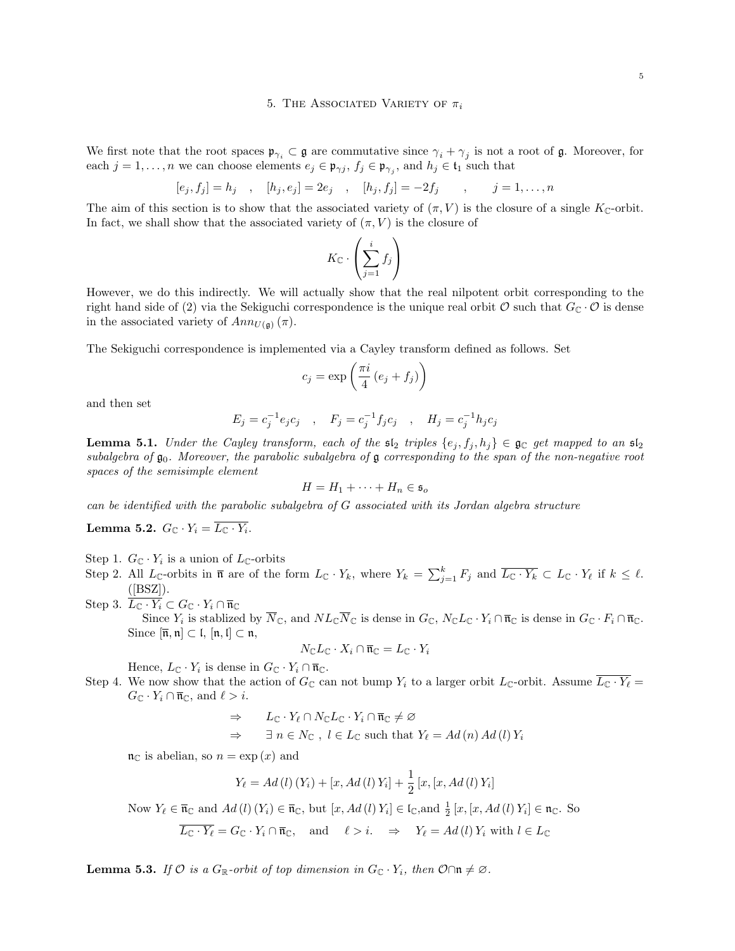#### 5. THE ASSOCIATED VARIETY OF  $\pi_i$

We first note that the root spaces  $\mathfrak{p}_{\gamma_i} \subset \mathfrak{g}$  are commutative since  $\gamma_i + \gamma_j$  is not a root of  $\mathfrak{g}$ . Moreover, for each  $j = 1, \ldots, n$  we can choose elements  $e_j \in \mathfrak{p}_{\gamma_j}$ ,  $f_j \in \mathfrak{p}_{\gamma_j}$ , and  $h_j \in \mathfrak{t}_1$  such that

$$
[e_j, f_j] = h_j
$$
,  $[h_j, e_j] = 2e_j$ ,  $[h_j, f_j] = -2f_j$ ,  $j = 1, ..., n$ 

The aim of this section is to show that the associated variety of  $(\pi, V)$  is the closure of a single  $K_{\mathbb{C}}$ -orbit. In fact, we shall show that the associated variety of  $(\pi, V)$  is the closure of

$$
K_{\mathbb{C}} \cdot \left(\sum_{j=1}^{i} f_j\right)
$$

However, we do this indirectly. We will actually show that the real nilpotent orbit corresponding to the right hand side of (2) via the Sekiguchi correspondence is the unique real orbit  $\mathcal O$  such that  $G_{\mathbb C} \cdot \mathcal O$  is dense in the associated variety of  $Ann_{U(\mathfrak{a})}(\pi)$ .

The Sekiguchi correspondence is implemented via a Cayley transform defined as follows. Set

$$
c_j = \exp\left(\frac{\pi i}{4} \left(e_j + f_j\right)\right)
$$

and then set

$$
E_j = c_j^{-1} e_j c_j \quad , \quad F_j = c_j^{-1} f_j c_j \quad , \quad H_j = c_j^{-1} h_j c_j
$$

**Lemma 5.1.** Under the Cayley transform, each of the  $s_2$  triples  $\{e_j, f_j, h_j\} \in \mathfrak{g}_\mathbb{C}$  get mapped to an  $s_1$ subalgebra of  $\mathfrak{g}_0$ . Moreover, the parabolic subalgebra of  $\mathfrak{g}$  corresponding to the span of the non-negative root spaces of the semisimple element

$$
H = H_1 + \cdots + H_n \in \mathfrak{s}_o
$$

can be identified with the parabolic subalgebra of G associated with its Jordan algebra structure

Lemma 5.2.  $G_{\mathbb{C}} \cdot Y_i = L_{\mathbb{C}} \cdot Y_i$ .

Step 1.  $G_{\mathbb{C}} \cdot Y_i$  is a union of  $L_{\mathbb{C}}$ -orbits

Step 2. All  $L_{\mathbb{C}}$ -orbits in  $\bar{\mathfrak{n}}$  are of the form  $L_{\mathbb{C}} \cdot Y_k$ , where  $Y_k = \sum_{j=1}^k F_j$  and  $\overline{L_{\mathbb{C}} \cdot Y_k} \subset L_{\mathbb{C}} \cdot Y_\ell$  if  $k \leq \ell$ .  $([BSZ]).$ 

Step 3.  $L_{\mathbb{C}} \cdot Y_i \subset G_{\mathbb{C}} \cdot Y_i \cap \overline{\mathfrak{n}}_{\mathbb{C}}$ Since  $Y_i$  is stablized by  $N_{\mathbb{C}}$ , and  $NL_{\mathbb{C}}N_{\mathbb{C}}$  is dense in  $G_{\mathbb{C}}$ ,  $N_{\mathbb{C}}L_{\mathbb{C}}\cdot Y_i \cap \overline{\mathfrak{n}}_{\mathbb{C}}$  is dense in  $G_{\mathbb{C}}\cdot F_i \cap \overline{\mathfrak{n}}_{\mathbb{C}}$ . Since  $[\overline{\mathfrak{n}}, \mathfrak{n}] \subset \mathfrak{l}, [\mathfrak{n}, \mathfrak{l}] \subset \mathfrak{n},$ 

$$
N_{\mathbb{C}}L_{\mathbb{C}}\cdot X_i\cap\overline{\mathfrak{n}}_{\mathbb{C}}=L_{\mathbb{C}}\cdot Y_i
$$

Hence,  $L_{\mathbb{C}} \cdot Y_i$  is dense in  $G_{\mathbb{C}} \cdot Y_i \cap \overline{\mathfrak{n}}_{\mathbb{C}}$ .

Step 4. We now show that the action of  $G_{\mathbb{C}}$  can not bump  $Y_i$  to a larger orbit  $L_{\mathbb{C}}$ -orbit. Assume  $\overline{L_{\mathbb{C}} \cdot Y_{\ell}} =$  $G_{\mathbb{C}} \cdot Y_i \cap \overline{\mathfrak{n}}_{\mathbb{C}},$  and  $\ell > i$ .

$$
\Rightarrow L_{\mathbb{C}} \cdot Y_{\ell} \cap N_{\mathbb{C}} L_{\mathbb{C}} \cdot Y_i \cap \overline{\mathfrak{n}}_{\mathbb{C}} \neq \varnothing
$$
  
\n
$$
\Rightarrow \qquad \exists n \in N_{\mathbb{C}} , l \in L_{\mathbb{C}} \text{ such that } Y_{\ell} = Ad(n) Ad(l) Y_i
$$

 $\mathfrak{n}_{\mathbb{C}}$  is abelian, so  $n = \exp(x)$  and

$$
Y_{\ell} = Ad (l) (Y_i) + [x, Ad (l) Y_i] + \frac{1}{2} [x, [x, Ad (l) Y_i]
$$

Now  $Y_{\ell} \in \overline{\mathfrak{n}}_{\mathbb{C}}$  and  $Ad (l) (Y_i) \in \overline{\mathfrak{n}}_{\mathbb{C}}$ , but  $[x, Ad (l) Y_i] \in \mathfrak{l}_{\mathbb{C}}$ , and  $\frac{1}{2}[x, [x, Ad (l) Y_i] \in \mathfrak{n}_{\mathbb{C}}$ . So

$$
\overline{L_{\mathbb{C}} \cdot Y_{\ell}} = G_{\mathbb{C}} \cdot Y_i \cap \overline{\mathfrak{n}}_{\mathbb{C}}, \quad \text{and} \quad \ell > i. \quad \Rightarrow \quad Y_{\ell} = Ad(l) Y_i \text{ with } l \in L_{\mathbb{C}}
$$

**Lemma 5.3.** If  $\mathcal{O}$  is a  $G_{\mathbb{R}}$ -orbit of top dimension in  $G_{\mathbb{C}} \cdot Y_i$ , then  $\mathcal{O} \cap \mathfrak{n} \neq \emptyset$ .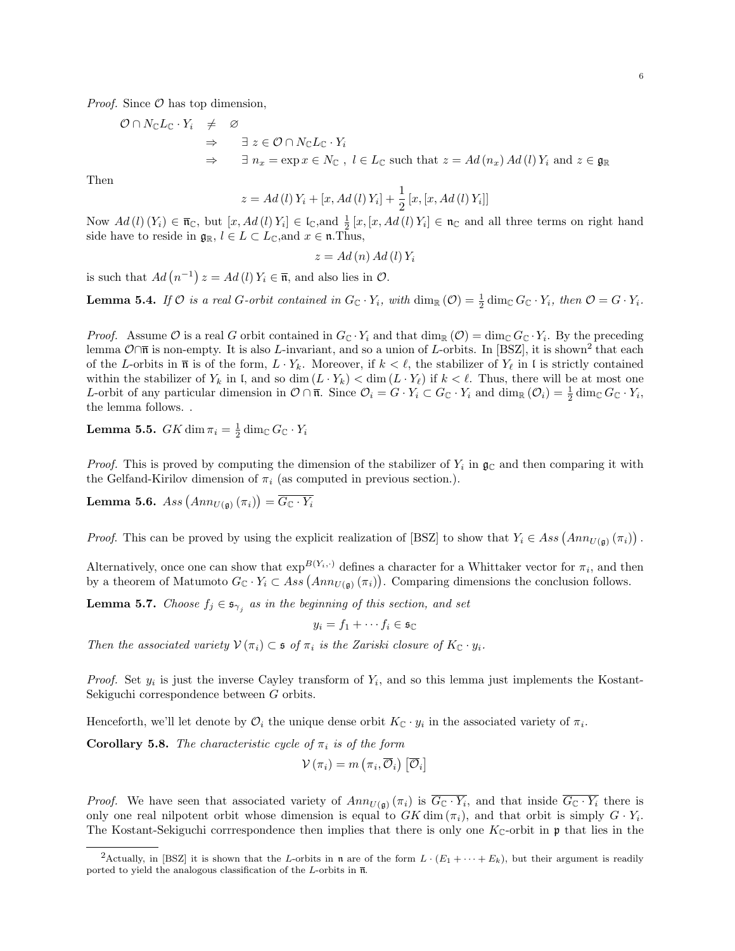*Proof.* Since  $\mathcal{O}$  has top dimension,

$$
\begin{array}{rcl}\n\mathcal{O} \cap N_{\mathbb{C}}L_{\mathbb{C}} \cdot Y_{i} & \neq & \mathcal{O} \\
\Rightarrow & \exists \ z \in \mathcal{O} \cap N_{\mathbb{C}}L_{\mathbb{C}} \cdot Y_{i} \\
\Rightarrow & \exists \ n_{x} = \exp x \in N_{\mathbb{C}} \text{ , } l \in L_{\mathbb{C}} \text{ such that } z = Ad(n_{x})Ad(l)Y_{i} \text{ and } z \in \mathfrak{g}_{\mathbb{R}}\n\end{array}
$$

Then

$$
z = Ad (l) Y_i + [x, Ad (l) Y_i] + \frac{1}{2} [x, [x, Ad (l) Y_i]]
$$

Now  $Ad (l) (Y_i) \in \overline{\mathfrak{n}}_{\mathbb{C}}$ , but  $[x, Ad (l) Y_i] \in \mathfrak{l}_{\mathbb{C}}$ , and  $\frac{1}{2}[x, [x, Ad (l) Y_i] \in \mathfrak{n}_{\mathbb{C}}$  and all three terms on right hand side have to reside in  $\mathfrak{g}_{\mathbb{R}}$ ,  $l \in L \subset L_{\mathbb{C}}$ , and  $x \in \mathfrak{n}$ . Thus,

$$
z = Ad\left(n\right) Ad\left(l\right) Y_i
$$

is such that  $Ad(n^{-1}) z = Ad(l) Y_i \in \overline{\mathfrak{n}}$ , and also lies in  $\mathcal{O}$ .

**Lemma 5.4.** If  $\mathcal O$  is a real G-orbit contained in  $G_{\mathbb C} \cdot Y_i$ , with  $\dim_{\mathbb R}(\mathcal O) = \frac{1}{2} \dim_{\mathbb C} G_{\mathbb C} \cdot Y_i$ , then  $\mathcal O = G \cdot Y_i$ .

*Proof.* Assume O is a real G orbit contained in  $G_{\mathbb{C}} \cdot Y_i$  and that  $\dim_{\mathbb{R}} (\mathcal{O}) = \dim_{\mathbb{C}} G_{\mathbb{C}} \cdot Y_i$ . By the preceding lemma  $\mathcal{O}\cap\overline{\mathfrak{n}}$  is non-empty. It is also L-invariant, and so a union of L-orbits. In [BSZ], it is shown<sup>2</sup> that each of the L-orbits in  $\bar{\mathfrak{n}}$  is of the form,  $L \cdot Y_k$ . Moreover, if  $k \lt \ell$ , the stabilizer of  $Y_\ell$  in l is strictly contained within the stabilizer of  $Y_k$  in l, and so dim  $(L \cdot Y_k) < \dim (L \cdot Y_\ell)$  if  $k < \ell$ . Thus, there will be at most one L-orbit of any particular dimension in  $\mathcal{O} \cap \overline{\mathfrak{n}}$ . Since  $\mathcal{O}_i = G \cdot Y_i \subset G_{\mathbb{C}} \cdot Y_i$  and  $\dim_{\mathbb{R}} (\mathcal{O}_i) = \frac{1}{2} \dim_{\mathbb{C}} G_{\mathbb{C}} \cdot Y_i$ , the lemma follows. .

**Lemma 5.5.**  $GK\dim\pi_i = \frac{1}{2}\dim_{\mathbb{C}}G_{\mathbb{C}}\cdot Y_i$ 

*Proof.* This is proved by computing the dimension of the stabilizer of  $Y_i$  in  $\mathfrak{g}_\mathbb{C}$  and then comparing it with the Gelfand-Kirilov dimension of  $\pi_i$  (as computed in previous section.).

 $\textbf{Lemma 5.6.}\ \textit{Ass}\left( Ann_{U(\mathfrak{g})}\left( \pi_{i}\right) \right) =\overline{G_{\mathbb{C}}\cdot Y_{i}}$ 

*Proof.* This can be proved by using the explicit realization of [BSZ] to show that  $Y_i \in Ass(Ann_{U(\mathfrak{g})}(\pi_i))$ .

Alternatively, once one can show that  $\exp^{B(Y_i,\cdot)}$  defines a character for a Whittaker vector for  $\pi_i$ , and then by a theorem of Matumoto  $G_{\mathbb{C}} \cdot Y_i \subset Ass(Ann_{U(\mathfrak{g})}(\pi_i))$ . Comparing dimensions the conclusion follows.

**Lemma 5.7.** Choose  $f_j \in \mathfrak{s}_{\gamma_j}$  as in the beginning of this section, and set

 $y_i = f_1 + \cdots + f_i \in \mathfrak{s}_\mathbb{C}$ 

Then the associated variety  $V(\pi_i) \subset \mathfrak{s}$  of  $\pi_i$  is the Zariski closure of  $K_{\mathbb{C}} \cdot y_i$ .

*Proof.* Set  $y_i$  is just the inverse Cayley transform of  $Y_i$ , and so this lemma just implements the Kostant-Sekiguchi correspondence between G orbits.

Henceforth, we'll let denote by  $\mathcal{O}_i$  the unique dense orbit  $K_{\mathbb{C}} \cdot y_i$  in the associated variety of  $\pi_i$ .

**Corollary 5.8.** The characteristic cycle of  $\pi_i$  is of the form

$$
\mathcal{V}\left(\pi_{i}\right)=m\left(\pi_{i},\overline{\mathcal{O}}_{i}\right)\left[\overline{\mathcal{O}}_{i}\right]
$$

*Proof.* We have seen that associated variety of  $Ann_{U(\mathfrak{g})}(\pi_i)$  is  $\overline{G_{\mathbb{C}}\cdot Y_i}$ , and that inside  $\overline{G_{\mathbb{C}}\cdot Y_i}$  there is only one real nilpotent orbit whose dimension is equal to  $GK\dim(\pi_i)$ , and that orbit is simply  $G \cdot Y_i$ . The Kostant-Sekiguchi corrrespondence then implies that there is only one  $K_{\mathbb{C}}$ -orbit in p that lies in the

<sup>&</sup>lt;sup>2</sup>Actually, in [BSZ] it is shown that the L-orbits in n are of the form  $L \cdot (E_1 + \cdots + E_k)$ , but their argument is readily ported to yield the analogous classification of the L-orbits in  $\overline{n}$ .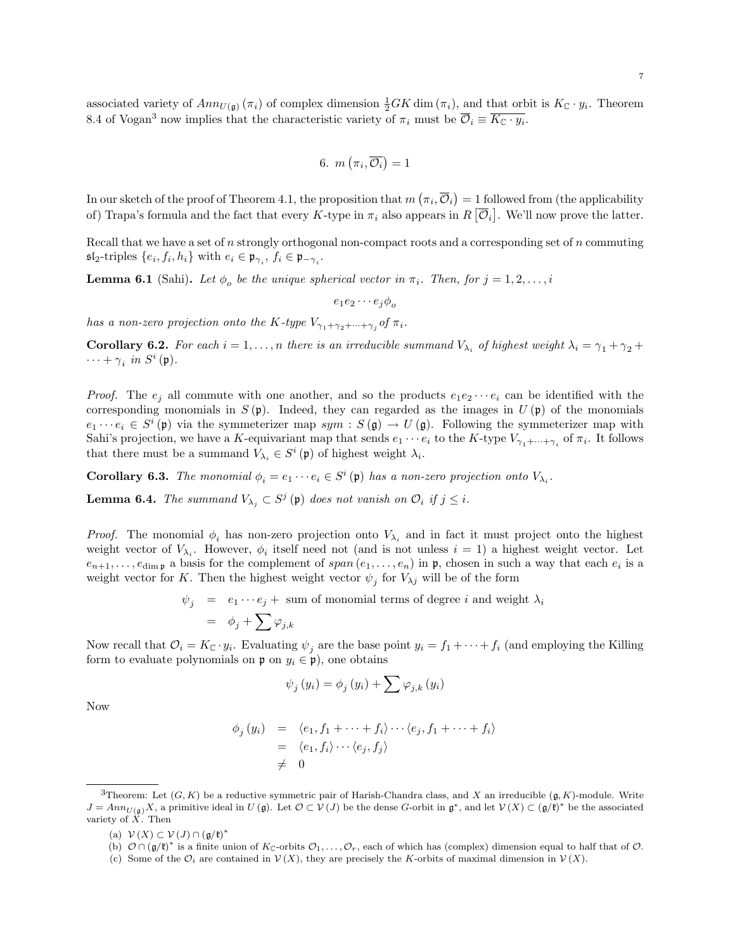associated variety of  $Ann_{U(\mathfrak{g})}(\pi_i)$  of complex dimension  $\frac{1}{2}GK\dim(\pi_i)$ , and that orbit is  $K_{\mathbb{C}} \cdot y_i$ . Theorem 8.4 of Vogan<sup>3</sup> now implies that the characteristic variety of  $\pi_i$  must be  $\overline{\mathcal{O}}_i \equiv \overline{K_{\mathbb{C}} \cdot y_i}$ .

6. 
$$
m(\pi_i, \overline{\mathcal{O}_i}) = 1
$$

In our sketch of the proof of Theorem 4.1, the proposition that  $m(\pi_i,\overline{\mathcal{O}}_i)=1$  followed from (the applicability of) Trapa's formula and the fact that every K-type in  $\pi_i$  also appears in  $R[\overline{\mathcal{O}}_i]$ . We'll now prove the latter.

Recall that we have a set of n strongly orthogonal non-compact roots and a corresponding set of n commuting  $\mathfrak{sl}_2$ -triples  $\{e_i, f_i, h_i\}$  with  $e_i \in \mathfrak{p}_{\gamma_i}, f_i \in \mathfrak{p}_{-\gamma_i}$ .

**Lemma 6.1** (Sahi). Let  $\phi_o$  be the unique spherical vector in  $\pi_i$ . Then, for  $j = 1, 2, \ldots, i$ 

 $e_1e_2\cdots e_i\phi_q$ 

has a non-zero projection onto the K-type  $V_{\gamma_1+\gamma_2+\cdots+\gamma_j}$  of  $\pi_i$ .

**Corollary 6.2.** For each  $i = 1, ..., n$  there is an irreducible summand  $V_{\lambda_i}$  of highest weight  $\lambda_i = \gamma_1 + \gamma_2 + \gamma_3$  $\cdots + \gamma_i$  in  $S^i(\mathfrak{p})$ .

*Proof.* The  $e_i$  all commute with one another, and so the products  $e_1e_2\cdots e_i$  can be identified with the corresponding monomials in  $S(\mathfrak{p})$ . Indeed, they can regarded as the images in  $U(\mathfrak{p})$  of the monomials  $e_1 \cdots e_i \in S^i(\mathfrak{p})$  via the symmeterizer map  $sym : S(\mathfrak{g}) \to U(\mathfrak{g})$ . Following the symmeterizer map with Sahi's projection, we have a K-equivariant map that sends  $e_1 \cdots e_i$  to the K-type  $V_{\gamma_1 + \cdots + \gamma_i}$  of  $\pi_i$ . It follows that there must be a summand  $V_{\lambda_i} \in S^i(\mathfrak{p})$  of highest weight  $\lambda_i$ .

**Corollary 6.3.** The monomial  $\phi_i = e_1 \cdots e_i \in S^i(\mathfrak{p})$  has a non-zero projection onto  $V_{\lambda_i}$ .

**Lemma 6.4.** The summand  $V_{\lambda_j} \subset S^j$  (p) does not vanish on  $\mathcal{O}_i$  if  $j \leq i$ .

*Proof.* The monomial  $\phi_i$  has non-zero projection onto  $V_{\lambda_i}$  and in fact it must project onto the highest weight vector of  $V_{\lambda_i}$ . However,  $\phi_i$  itself need not (and is not unless  $i = 1$ ) a highest weight vector. Let  $e_{n+1},\ldots,e_{\dim \mathfrak{p}}$  a basis for the complement of  $span(e_1,\ldots,e_n)$  in  $\mathfrak{p}$ , chosen in such a way that each  $e_i$  is a weight vector for K. Then the highest weight vector  $\psi_j$  for  $V_{\lambda j}$  will be of the form

$$
\begin{array}{lcl} \psi_j & = & e_1 \cdots e_j + \hbox{ sum of monomial terms of degree } i \hbox{ and weight } \lambda_i \\ \\ & = & \phi_j + \sum \varphi_{j,k} \end{array}
$$

Now recall that  $\mathcal{O}_i = K_{\mathbb{C}} \cdot y_i$ . Evaluating  $\psi_j$  are the base point  $y_i = f_1 + \cdots + f_i$  (and employing the Killing form to evaluate polynomials on  $\mathfrak{p}$  on  $y_i \in \mathfrak{p}$ ), one obtains

$$
\psi_j(y_i) = \phi_j(y_i) + \sum \varphi_{j,k}(y_i)
$$

Now

$$
\begin{array}{rcl}\n\phi_j(y_i) & = & \langle e_1, f_1 + \dots + f_i \rangle \dots \langle e_j, f_1 + \dots + f_i \rangle \\
& = & \langle e_1, f_i \rangle \dots \langle e_j, f_j \rangle \\
& \neq & 0\n\end{array}
$$

(a)  $\mathcal{V}(X) \subset \mathcal{V}(J) \cap (\mathfrak{g}/\mathfrak{k})^*$ 

<sup>&</sup>lt;sup>3</sup>Theorem: Let  $(G, K)$  be a reductive symmetric pair of Harish-Chandra class, and X an irreducible  $(\mathfrak{g}, K)$ -module. Write  $J = Ann_{U(\mathfrak{g})}X$ , a primitive ideal in  $U(\mathfrak{g})$ . Let  $\mathcal{O} \subset V(J)$  be the dense G-orbit in  $\mathfrak{g}^*$ , and let  $V(X) \subset (\mathfrak{g}/\mathfrak{k})^*$  be the associated variety of  $X$ . Then

<sup>(</sup>b)  $\mathcal{O} \cap (\mathfrak{g}/\mathfrak{k})^*$  is a finite union of  $K_{\mathbb{C}}$ -orbits  $\mathcal{O}_1, \ldots, \mathcal{O}_r$ , each of which has (complex) dimension equal to half that of  $\mathcal{O}$ .

<sup>(</sup>c) Some of the  $\mathcal{O}_i$  are contained in  $\mathcal{V}(X)$ , they are precisely the K-orbits of maximal dimension in  $\mathcal{V}(X)$ .